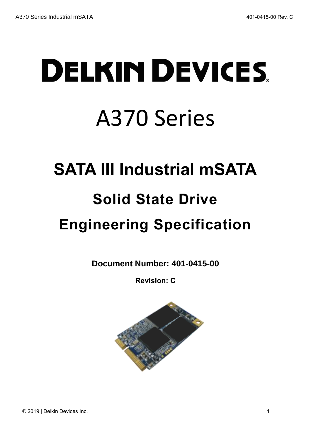# **DELKIN DEVICES** A370 Series

# <span id="page-0-0"></span>**SATA III Industrial mSATA**

# **Solid State Drive**

# <span id="page-0-1"></span>**Engineering Specification**

**Document Number: 401-0415-00**

**Revision: C**

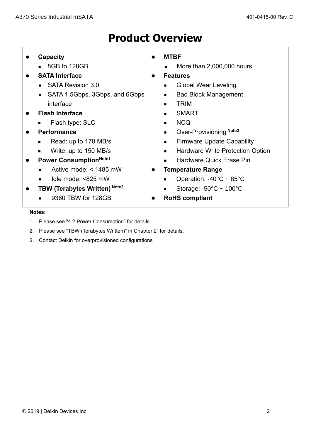# **Product Overview**

- ⚫ **Capacity**
	- 8GB to 128GB
- ⚫ **SATA Interface**
	- SATA Revision 3.0
	- SATA 1.5Gbps, 3Gbps, and 6Gbps interface
- ⚫ **Flash Interface**
	- Flash type: SLC
- ⚫ **Performance**
	- Read: up to 170 MB/s
	- Write: up to 150 MB/s
- ⚫ **Power ConsumptionNote1**
	- Active mode: < 1485 mW
	- Idle mode: <825 mW
- ⚫ **TBW (Terabytes Written) Note2**
	- 9360 TBW for 128GB
- ⚫ **MTBF**
	- More than 2,000,000 hours
- ⚫ **Features**
	- Global Wear Leveling
	- Bad Block Management
	- TRIM
	- SMART
	- **NCQ**
	- Over-Provisioning Note<sub>3</sub>
	- Firmware Update Capability
	- Hardware Write Protection Option
	- Hardware Quick Erase Pin
- ⚫ **Temperature Range**
	- Operation: -40°C ~ 85°C
	- Storage:  $-50^{\circ}$ C ~ 100 $^{\circ}$ C
- ⚫ **RoHS compliant**

#### **Notes:**

- 1. Please see ["4.2](#page-11-0) [Power Consumption"](#page-11-0) for details.
- 2. Please see "TBW (Terabytes Written)" in Chapter [2"](#page-8-0) for details.
- 3. Contact Delkin for overprovisioned configurations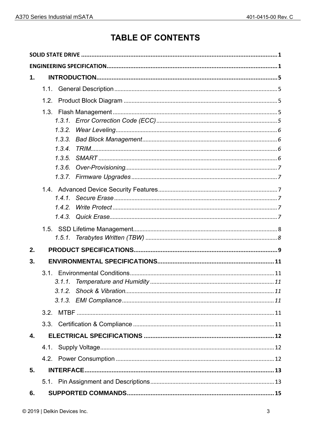# **TABLE OF CONTENTS**

| 1. |        |
|----|--------|
|    | 1.1.   |
|    | 1.2.   |
|    |        |
|    |        |
|    | 1.3.2. |
|    | 1.3.3. |
|    | 1.3.4. |
|    | 1.3.5  |
|    | 1.3.6. |
|    | 1.3.7. |
|    |        |
|    |        |
|    | 1.4.2. |
|    | 1.4.3. |
|    |        |
|    |        |
| 2. |        |
| 3. |        |
|    |        |
|    |        |
|    |        |
|    |        |
|    |        |
|    | 3.3.   |
| 4. |        |
|    | 4.1.   |
|    |        |
| 5. |        |
|    |        |
| 6. |        |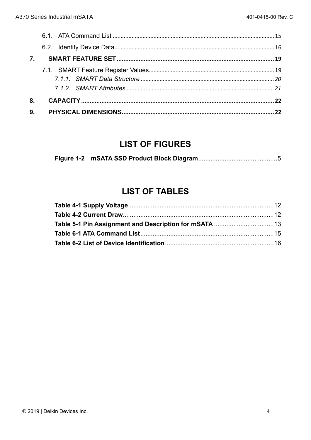| 8.             |  |
|----------------|--|
| 9 <sub>1</sub> |  |

# **LIST OF FIGURES**

|--|--|

# **LIST OF TABLES**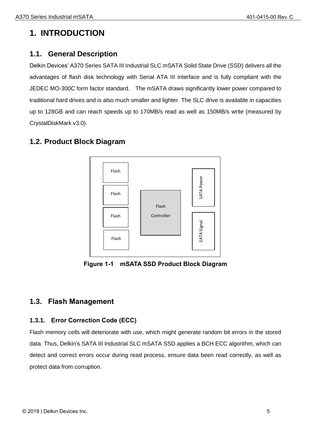# <span id="page-4-0"></span>**1. INTRODUCTION**

#### <span id="page-4-1"></span>**1.1. General Description**

Delkin Devices' A370 Series SATA III Industrial SLC mSATA Solid State Drive (SSD) delivers all the advantages of flash disk technology with Serial ATA III interface and is fully compliant with the JEDEC MO-300C form factor standard. The mSATA draws significantly lower power compared to traditional hard drives and is also much smaller and lighter. The SLC drive is available in capacities up to 128GB and can reach speeds up to 170MB/s read as well as 150MB/s write (measured by CrystalDiskMark v3.0).

#### <span id="page-4-2"></span>**1.2. Product Block Diagram**



**Figure 1-1 mSATA SSD Product Block Diagram**

#### <span id="page-4-5"></span><span id="page-4-3"></span>**1.3. Flash Management**

#### <span id="page-4-4"></span>**1.3.1. Error Correction Code (ECC)**

Flash memory cells will deteriorate with use, which might generate random bit errors in the stored data. Thus, Delkin's SATA III Industrial SLC mSATA SSD applies a BCH ECC algorithm, which can detect and correct errors occur during read process, ensure data been read correctly, as well as protect data from corruption.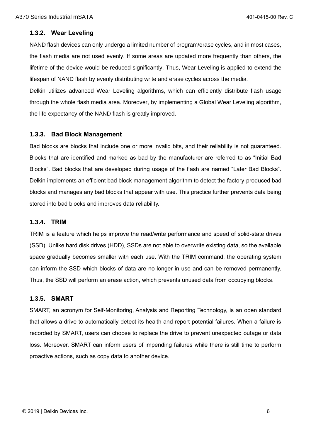#### <span id="page-5-0"></span>**1.3.2. Wear Leveling**

NAND flash devices can only undergo a limited number of program/erase cycles, and in most cases, the flash media are not used evenly. If some areas are updated more frequently than others, the lifetime of the device would be reduced significantly. Thus, Wear Leveling is applied to extend the lifespan of NAND flash by evenly distributing write and erase cycles across the media.

Delkin utilizes advanced Wear Leveling algorithms, which can efficiently distribute flash usage through the whole flash media area. Moreover, by implementing a Global Wear Leveling algorithm, the life expectancy of the NAND flash is greatly improved.

#### <span id="page-5-1"></span>**1.3.3. Bad Block Management**

Bad blocks are blocks that include one or more invalid bits, and their reliability is not guaranteed. Blocks that are identified and marked as bad by the manufacturer are referred to as "Initial Bad Blocks". Bad blocks that are developed during usage of the flash are named "Later Bad Blocks". Delkin implements an efficient bad block management algorithm to detect the factory-produced bad blocks and manages any bad blocks that appear with use. This practice further prevents data being stored into bad blocks and improves data reliability.

#### <span id="page-5-2"></span>**1.3.4. TRIM**

TRIM is a feature which helps improve the read/write performance and speed of solid-state drives (SSD). Unlike hard disk drives (HDD), SSDs are not able to overwrite existing data, so the available space gradually becomes smaller with each use. With the TRIM command, the operating system can inform the SSD which blocks of data are no longer in use and can be removed permanently. Thus, the SSD will perform an erase action, which prevents unused data from occupying blocks.

#### <span id="page-5-3"></span>**1.3.5. SMART**

SMART, an acronym for Self-Monitoring, Analysis and Reporting Technology, is an open standard that allows a drive to automatically detect its health and report potential failures. When a failure is recorded by SMART, users can choose to replace the drive to prevent unexpected outage or data loss. Moreover, SMART can inform users of impending failures while there is still time to perform proactive actions, such as copy data to another device.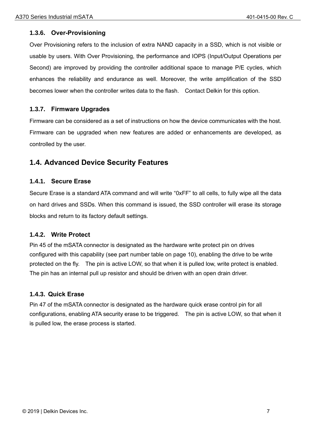#### <span id="page-6-0"></span>**1.3.6. Over-Provisioning**

Over Provisioning refers to the inclusion of extra NAND capacity in a SSD, which is not visible or usable by users. With Over Provisioning, the performance and IOPS (Input/Output Operations per Second) are improved by providing the controller additional space to manage P/E cycles, which enhances the reliability and endurance as well. Moreover, the write amplification of the SSD becomes lower when the controller writes data to the flash. Contact Delkin for this option.

#### <span id="page-6-1"></span>**1.3.7. Firmware Upgrades**

Firmware can be considered as a set of instructions on how the device communicates with the host. Firmware can be upgraded when new features are added or enhancements are developed, as controlled by the user.

#### <span id="page-6-2"></span>**1.4. Advanced Device Security Features**

#### <span id="page-6-3"></span>**1.4.1. Secure Erase**

Secure Erase is a standard ATA command and will write "0xFF" to all cells, to fully wipe all the data on hard drives and SSDs. When this command is issued, the SSD controller will erase its storage blocks and return to its factory default settings.

#### <span id="page-6-4"></span>**1.4.2. Write Protect**

Pin 45 of the mSATA connector is designated as the hardware write protect pin on drives configured with this capability (see part number table on page 10), enabling the drive to be write protected on the fly. The pin is active LOW, so that when it is pulled low, write protect is enabled. The pin has an internal pull up resistor and should be driven with an open drain driver.

#### <span id="page-6-5"></span>**1.4.3. Quick Erase**

Pin 47 of the mSATA connector is designated as the hardware quick erase control pin for all configurations, enabling ATA security erase to be triggered. The pin is active LOW, so that when it is pulled low, the erase process is started.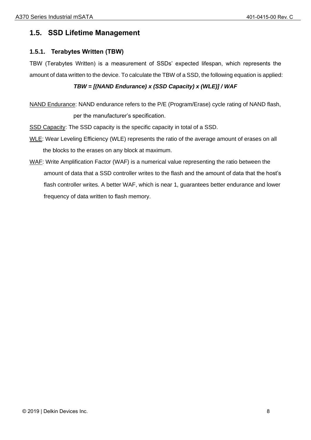#### <span id="page-7-0"></span>**1.5. SSD Lifetime Management**

#### <span id="page-7-1"></span>**1.5.1. Terabytes Written (TBW)**

TBW (Terabytes Written) is a measurement of SSDs' expected lifespan, which represents the amount of data written to the device. To calculate the TBW of a SSD, the following equation is applied:

#### *TBW = [(NAND Endurance) x (SSD Capacity) x (WLE)] / WAF*

NAND Endurance: NAND endurance refers to the P/E (Program/Erase) cycle rating of NAND flash, per the manufacturer's specification.

SSD Capacity: The SSD capacity is the specific capacity in total of a SSD.

- WLE: Wear Leveling Efficiency (WLE) represents the ratio of the average amount of erases on all the blocks to the erases on any block at maximum.
- WAF: Write Amplification Factor (WAF) is a numerical value representing the ratio between the amount of data that a SSD controller writes to the flash and the amount of data that the host's flash controller writes. A better WAF, which is near 1, guarantees better endurance and lower frequency of data written to flash memory.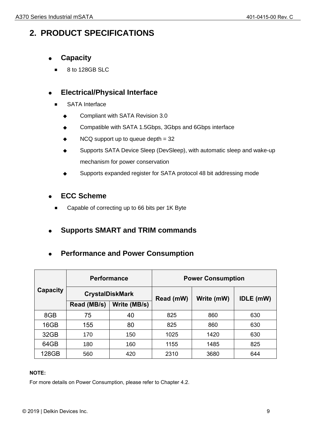# <span id="page-8-0"></span>**2. PRODUCT SPECIFICATIONS**

- ⚫ **Capacity**
	- 8 to 128GB SLC

#### ⚫ **Electrical/Physical Interface**

- SATA Interface
	- Compliant with SATA Revision 3.0
	- ◆ Compatible with SATA 1.5Gbps, 3Gbps and 6Gbps interface
	- $\blacklozenge$  NCQ support up to queue depth = 32
	- ◆ Supports SATA Device Sleep (DevSleep), with automatic sleep and wake-up mechanism for power conservation
	- ◆ Supports expanded register for SATA protocol 48 bit addressing mode

#### ⚫ **ECC Scheme**

Capable of correcting up to 66 bits per 1K Byte

#### ⚫ **Supports SMART and TRIM commands**

#### ⚫ **Performance and Power Consumption**

|          | <b>Performance</b>     |              | <b>Power Consumption</b> |            |                  |
|----------|------------------------|--------------|--------------------------|------------|------------------|
| Capacity | <b>CrystalDiskMark</b> |              | Read (mW)                | Write (mW) | <b>IDLE</b> (mW) |
|          | Read (MB/s)            | Write (MB/s) |                          |            |                  |
| 8GB      | 75                     | 40           | 825                      | 860        | 630              |
| 16GB     | 155                    | 80           | 825                      | 860        | 630              |
| 32GB     | 170                    | 150          | 1025                     | 1420       | 630              |
| 64GB     | 180                    | 160          | 1155                     | 1485       | 825              |
| 128GB    | 560                    | 420          | 2310                     | 3680       | 644              |

#### **NOTE:**

For more details on Power Consumption, please refer to Chapter [4.2.](#page-11-0)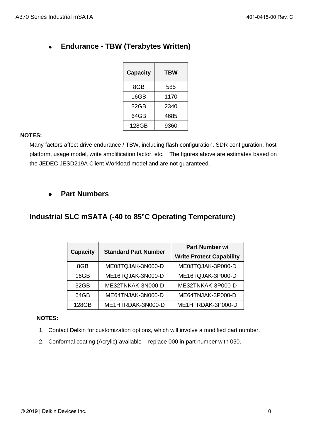| <b>Capacity</b> | TBW  |
|-----------------|------|
| 8GB             | 585  |
| 16GB            | 1170 |
| 32GB            | 2340 |
| 64GB            | 4685 |
| 128GB           | 9360 |

#### **NOTES:**

Many factors affect drive endurance / TBW, including flash configuration, SDR configuration, host platform, usage model, write amplification factor, etc. The figures above are estimates based on the JEDEC JESD219A Client Workload model and are not guaranteed.

#### ⚫ **Part Numbers**

#### **Industrial SLC mSATA (-40 to 85°C Operating Temperature)**

|                 | <b>Standard Part Number</b> | Part Number w/                  |
|-----------------|-----------------------------|---------------------------------|
| <b>Capacity</b> |                             | <b>Write Protect Capability</b> |
| 8GB             | ME08TQJAK-3N000-D           | ME08TQJAK-3P000-D               |
| 16GB            | ME16TQJAK-3N000-D           | ME16TQJAK-3P000-D               |
| 32GB            | ME32TNKAK-3N000-D           | ME32TNKAK-3P000-D               |
| 64GB            | ME64TNJAK-3N000-D           | ME64TNJAK-3P000-D               |
| 128GB           | ME1HTRDAK-3N000-D           | ME1HTRDAK-3P000-D               |

#### **NOTES:**

- 1. Contact Delkin for customization options, which will involve a modified part number.
- 2. Conformal coating (Acrylic) available replace 000 in part number with 050.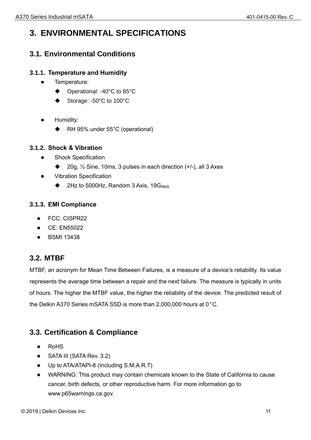# <span id="page-10-0"></span>**3. ENVIRONMENTAL SPECIFICATIONS**

### <span id="page-10-1"></span>**3.1. Environmental Conditions**

#### <span id="page-10-2"></span>**3.1.1. Temperature and Humidity**

- ⚫ Temperature:
	- ◆ Operational: -40°C to 85°C
	- Storage: -50°C to 100°C
- ⚫ Humidity:
	- ◆ RH 95% under 55°C (operational)

#### <span id="page-10-3"></span>**3.1.2. Shock & Vibration**

- Shock Specification
	- ◆ 20g, ½ Sine, 10ms, 3 pulses in each direction (+/-), all 3 Axes
- ⚫ Vibration Specification
	- ◆ 2Hz to 5000Hz, Random 3 Axis, 19GRMS

#### <span id="page-10-4"></span>**3.1.3. EMI Compliance**

- FCC: CISPR22
- ⚫ CE: EN55022
- ⚫ BSMI 13438

#### <span id="page-10-5"></span>**3.2. MTBF**

MTBF, an acronym for Mean Time Between Failures, is a measure of a device's reliability. Its value represents the average time between a repair and the next failure. The measure is typically in units of hours. The higher the MTBF value, the higher the reliability of the device. The predicted result of the Delkin A370 Series mSATA SSD is more than 2,000,000 hours at 0°C.

#### <span id="page-10-6"></span>**3.3. Certification & Compliance**

- ⚫ RoHS
- SATA III (SATA Rev. 3.2)
- ⚫ Up to ATA/ATAPI-8 (Including S.M.A.R.T)
- ⚫ WARNING: This product may contain chemicals known to the State of California to cause cancer, birth defects, or other reproductive harm. For more information go to www.p65warnings.ca.gov.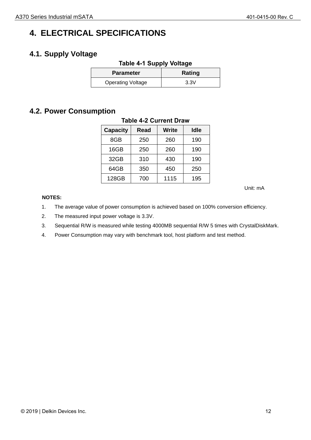# <span id="page-11-1"></span>**4. ELECTRICAL SPECIFICATIONS**

### <span id="page-11-3"></span><span id="page-11-2"></span>**4.1. Supply Voltage**

| <b>Table 4-1 Supply Voltage</b> |        |  |
|---------------------------------|--------|--|
| <b>Parameter</b>                | Rating |  |
| <b>Operating Voltage</b>        | 3.3V   |  |

#### <span id="page-11-4"></span><span id="page-11-0"></span>**4.2. Power Consumption**

| <b>Capacity</b> | <b>Read</b> | <b>Write</b> | <b>Idle</b> |  |
|-----------------|-------------|--------------|-------------|--|
| 8GB             | 250         | 260          | 190         |  |
| 16GB            | 250         | 260          | 190         |  |
| 32GB            | 310         | 430          | 190         |  |
| 64GB            | 350         | 450          | 250         |  |
| 128GB           | 700         | 1115         | 195         |  |

#### **Table 4-2 Current Draw**

Unit: mA

#### **NOTES:**

- 1. The average value of power consumption is achieved based on 100% conversion efficiency.
- 2. The measured input power voltage is 3.3V.
- 3. Sequential R/W is measured while testing 4000MB sequential R/W 5 times with CrystalDiskMark.
- 4. Power Consumption may vary with benchmark tool, host platform and test method.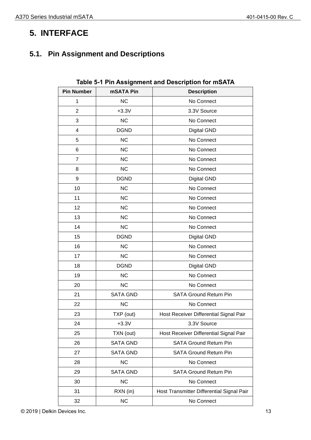# <span id="page-12-0"></span>**5. INTERFACE**

# <span id="page-12-2"></span><span id="page-12-1"></span>**5.1. Pin Assignment and Descriptions**

| <b>Pin Number</b> | mSATA Pin       | <b>Description</b>                        |
|-------------------|-----------------|-------------------------------------------|
| 1                 | NC              | No Connect                                |
| $\overline{2}$    | $+3.3V$         | 3.3V Source                               |
| 3                 | NC              | No Connect                                |
| 4                 | <b>DGND</b>     | <b>Digital GND</b>                        |
| 5                 | <b>NC</b>       | No Connect                                |
| 6                 | <b>NC</b>       | No Connect                                |
| $\overline{7}$    | NC              | No Connect                                |
| 8                 | <b>NC</b>       | No Connect                                |
| 9                 | <b>DGND</b>     | <b>Digital GND</b>                        |
| 10                | <b>NC</b>       | No Connect                                |
| 11                | <b>NC</b>       | No Connect                                |
| 12                | <b>NC</b>       | No Connect                                |
| 13                | NC              | No Connect                                |
| 14                | NC              | No Connect                                |
| 15                | <b>DGND</b>     | <b>Digital GND</b>                        |
| 16                | NC              | No Connect                                |
| 17                | <b>NC</b>       | No Connect                                |
| 18                | <b>DGND</b>     | <b>Digital GND</b>                        |
| 19                | NC              | No Connect                                |
| 20                | NC              | No Connect                                |
| 21                | <b>SATA GND</b> | <b>SATA Ground Return Pin</b>             |
| 22                | <b>NC</b>       | No Connect                                |
| 23                | TXP (out)       | Host Receiver Differential Signal Pair    |
| 24                | $+3.3V$         | 3.3V Source                               |
| 25                | TXN (out)       | Host Receiver Differential Signal Pair    |
| 26                | <b>SATA GND</b> | <b>SATA Ground Return Pin</b>             |
| 27                | <b>SATA GND</b> | <b>SATA Ground Return Pin</b>             |
| 28                | <b>NC</b>       | No Connect                                |
| 29                | <b>SATA GND</b> | <b>SATA Ground Return Pin</b>             |
| 30                | <b>NC</b>       | No Connect                                |
| 31                | RXN (in)        | Host Transmitter Differential Signal Pair |
| 32                | <b>NC</b>       | No Connect                                |

**Table 5-1 Pin Assignment and Description for mSATA**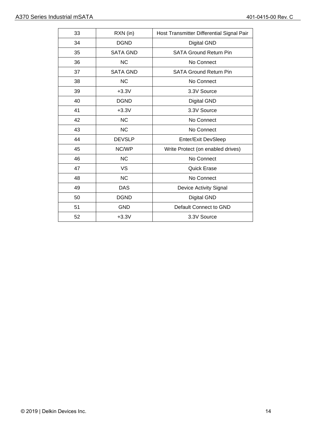| 33 | RXN (in)        | Host Transmitter Differential Signal Pair |
|----|-----------------|-------------------------------------------|
| 34 | <b>DGND</b>     | <b>Digital GND</b>                        |
| 35 | <b>SATA GND</b> | <b>SATA Ground Return Pin</b>             |
| 36 | <b>NC</b>       | No Connect                                |
| 37 | <b>SATA GND</b> | <b>SATA Ground Return Pin</b>             |
| 38 | <b>NC</b>       | No Connect                                |
| 39 | $+3.3V$         | 3.3V Source                               |
| 40 | <b>DGND</b>     | <b>Digital GND</b>                        |
| 41 | $+3.3V$         | 3.3V Source                               |
| 42 | <b>NC</b>       | No Connect                                |
| 43 | <b>NC</b>       | No Connect                                |
| 44 | <b>DEVSLP</b>   | Enter/Exit DevSleep                       |
| 45 | NC/WP           | Write Protect (on enabled drives)         |
| 46 | <b>NC</b>       | No Connect                                |
| 47 | <b>VS</b>       | <b>Quick Erase</b>                        |
| 48 | <b>NC</b>       | No Connect                                |
| 49 | <b>DAS</b>      | <b>Device Activity Signal</b>             |
| 50 | <b>DGND</b>     | <b>Digital GND</b>                        |
| 51 | <b>GND</b>      | Default Connect to GND                    |
| 52 | $+3.3V$         | 3.3V Source                               |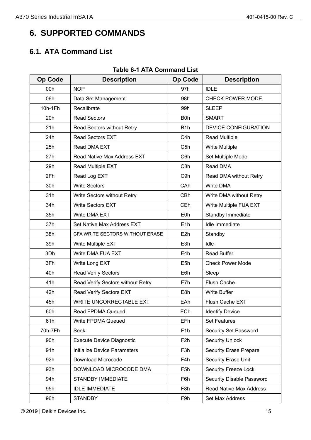# <span id="page-14-0"></span>**6. SUPPORTED COMMANDS**

### <span id="page-14-1"></span>**6.1. ATA Command List**

<span id="page-14-2"></span>

| <b>Op Code</b> | <b>Description</b>                | <b>Op Code</b>   | <b>Description</b>             |
|----------------|-----------------------------------|------------------|--------------------------------|
| 00h            | <b>NOP</b>                        | 97h              | <b>IDLE</b>                    |
| 06h            | Data Set Management               | 98h              | <b>CHECK POWER MODE</b>        |
| 10h-1Fh        | Recalibrate                       | 99h              | <b>SLEEP</b>                   |
| 20h            | <b>Read Sectors</b>               | B <sub>0</sub> h | <b>SMART</b>                   |
| 21h            | Read Sectors without Retry        | B <sub>1</sub> h | <b>DEVICE CONFIGURATION</b>    |
| 24h            | <b>Read Sectors EXT</b>           | C <sub>4</sub> h | <b>Read Multiple</b>           |
| 25h            | Read DMA EXT                      | C <sub>5</sub> h | <b>Write Multiple</b>          |
| 27h            | Read Native Max Address EXT       | C6h              | Set Multiple Mode              |
| 29h            | Read Multiple EXT                 | C8h              | Read DMA                       |
| 2Fh            | Read Log EXT                      | C <sub>9</sub> h | Read DMA without Retry         |
| 30h            | <b>Write Sectors</b>              | CAh              | <b>Write DMA</b>               |
| 31h            | Write Sectors without Retry       | CBh              | Write DMA without Retry        |
| 34h            | <b>Write Sectors EXT</b>          | CEh              | Write Multiple FUA EXT         |
| 35h            | Write DMA EXT                     | E <sub>0</sub> h | Standby Immediate              |
| 37h            | Set Native Max Address EXT        | E1h              | Idle Immediate                 |
| 38h            | CFA WRITE SECTORS WITHOUT ERASE   | E <sub>2</sub> h | Standby                        |
| 39h            | Write Multiple EXT                | E <sub>3</sub> h | Idle                           |
| 3Dh            | Write DMA FUA EXT                 | E4h              | <b>Read Buffer</b>             |
| 3Fh            | Write Long EXT                    | E <sub>5</sub> h | <b>Check Power Mode</b>        |
| 40h            | <b>Read Verify Sectors</b>        | E6h              | Sleep                          |
| 41h            | Read Verify Sectors without Retry | E7h              | <b>Flush Cache</b>             |
| 42h            | Read Verify Sectors EXT           | E8h              | <b>Write Buffer</b>            |
| 45h            | <b>WRITE UNCORRECTABLE EXT</b>    | EAh              | Flush Cache EXT                |
| 60h            | <b>Read FPDMA Queued</b>          | ECh              | <b>Identify Device</b>         |
| 61h            | Write FPDMA Queued                | EFh              | <b>Set Features</b>            |
| 70h-7Fh        | Seek                              | F <sub>1</sub> h | Security Set Password          |
| 90h            | <b>Execute Device Diagnostic</b>  | F <sub>2</sub> h | <b>Security Unlock</b>         |
| 91h            | Initialize Device Parameters      | F <sub>3</sub> h | <b>Security Erase Prepare</b>  |
| 92h            | Download Microcode                | F4h              | Security Erase Unit            |
| 93h            | DOWNLOAD MICROCODE DMA            | F <sub>5</sub> h | <b>Security Freeze Lock</b>    |
| 94h            | <b>STANDBY IMMEDIATE</b>          | F6h              | Security Disable Password      |
| 95h            | <b>IDLE IMMEDIATE</b>             | F <sub>8</sub> h | <b>Read Native Max Address</b> |
| 96h            | <b>STANDBY</b>                    | F9h              | Set Max Address                |

#### **Table 6-1 ATA Command List**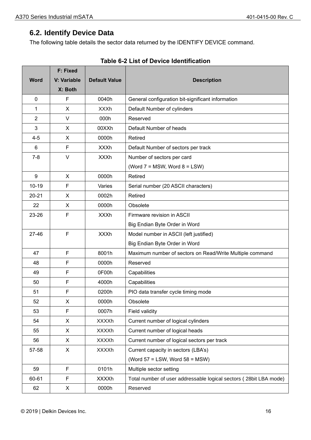$\overline{\phantom{0}}$ 

## <span id="page-15-0"></span>**6.2. Identify Device Data**

<span id="page-15-1"></span>**F: F: Fixed F: Fixed F: Fixed F: Fixed** 

The following table details the sector data returned by the IDENTIFY DEVICE command.

|                  | <b>F: Fixed</b> |                      |                                                                   |  |  |  |
|------------------|-----------------|----------------------|-------------------------------------------------------------------|--|--|--|
| <b>Word</b>      | V: Variable     | <b>Default Value</b> | <b>Description</b>                                                |  |  |  |
|                  | X: Both         |                      |                                                                   |  |  |  |
| 0                | F               | 0040h                | General configuration bit-significant information                 |  |  |  |
| 1                | X               | <b>XXXh</b>          | Default Number of cylinders                                       |  |  |  |
| $\overline{2}$   | $\vee$          | 000h                 | Reserved                                                          |  |  |  |
| 3                | X               | 00XXh                | Default Number of heads                                           |  |  |  |
| $4 - 5$          | X               | 0000h                | Retired                                                           |  |  |  |
| 6                | F               | <b>XXXh</b>          | Default Number of sectors per track                               |  |  |  |
| $7 - 8$          | $\vee$          | <b>XXXh</b>          | Number of sectors per card                                        |  |  |  |
|                  |                 |                      | (Word $7 = MSW$ , Word $8 = LSW$ )                                |  |  |  |
| $\boldsymbol{9}$ | X               | 0000h                | Retired                                                           |  |  |  |
| $10 - 19$        | F               | Varies               | Serial number (20 ASCII characters)                               |  |  |  |
| $20 - 21$        | X               | 0002h                | Retired                                                           |  |  |  |
| 22               | X               | 0000h                | Obsolete                                                          |  |  |  |
| 23-26            | F               | <b>XXXh</b>          | Firmware revision in ASCII                                        |  |  |  |
|                  |                 |                      | Big Endian Byte Order in Word                                     |  |  |  |
| 27-46            | $\mathsf{F}$    | <b>XXXh</b>          | Model number in ASCII (left justified)                            |  |  |  |
|                  |                 |                      | Big Endian Byte Order in Word                                     |  |  |  |
| 47               | $\mathsf{F}$    | 8001h                | Maximum number of sectors on Read/Write Multiple command          |  |  |  |
| 48               | F               | 0000h                | Reserved                                                          |  |  |  |
| 49               | F               | 0F00h                | Capabilities                                                      |  |  |  |
| 50               | F               | 4000h                | Capabilities                                                      |  |  |  |
| 51               | $\mathsf{F}$    | 0200h                | PIO data transfer cycle timing mode                               |  |  |  |
| 52               | X               | 0000h                | Obsolete                                                          |  |  |  |
| 53               | $\mathsf F$     | 0007h                | <b>Field validity</b>                                             |  |  |  |
| 54               | X               | <b>XXXXh</b>         | Current number of logical cylinders                               |  |  |  |
| 55               | X               | <b>XXXXh</b>         | Current number of logical heads                                   |  |  |  |
| 56               | X               | <b>XXXXh</b>         | Current number of logical sectors per track                       |  |  |  |
| 57-58            | X               | <b>XXXXh</b>         | Current capacity in sectors (LBA's)                               |  |  |  |
|                  |                 |                      | (Word $57 =$ LSW, Word $58 =$ MSW)                                |  |  |  |
| 59               | $\mathsf F$     | 0101h                | Multiple sector setting                                           |  |  |  |
| 60-61            | F               | <b>XXXXh</b>         | Total number of user addressable logical sectors (28bit LBA mode) |  |  |  |
| 62               | X               | 0000h                | Reserved                                                          |  |  |  |

|  |  | Table 6-2 List of Device Identification |  |
|--|--|-----------------------------------------|--|
|  |  |                                         |  |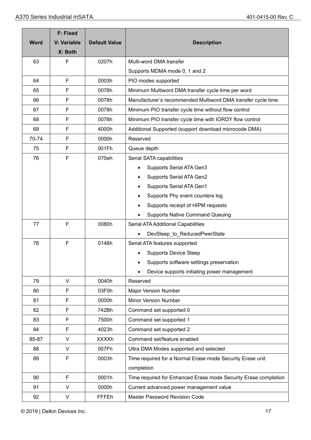|             | <b>F: Fixed</b> |                      |                                                                 |  |  |  |  |
|-------------|-----------------|----------------------|-----------------------------------------------------------------|--|--|--|--|
| <b>Word</b> | V: Variable     | <b>Default Value</b> | <b>Description</b>                                              |  |  |  |  |
|             | X: Both         |                      |                                                                 |  |  |  |  |
| 63          | F               | 0207h                | Multi-word DMA transfer                                         |  |  |  |  |
|             |                 |                      | Supports MDMA mode 0, 1 and 2                                   |  |  |  |  |
| 64          | F               | 0003h                | PIO modes supported                                             |  |  |  |  |
| 65          | F               | 0078h                | Minimum Multiword DMA transfer cycle time per word              |  |  |  |  |
| 66          | F               | 0078h                | Manufacturer's recommended Multiword DMA transfer cycle time    |  |  |  |  |
| 67          | F               | 0078h                | Minimum PIO transfer cycle time without flow control            |  |  |  |  |
| 68          | F               | 0078h                | Minimum PIO transfer cycle time with IORDY flow control         |  |  |  |  |
| 69          | F               | 4000h                | Additional Supported (support download microcode DMA)           |  |  |  |  |
| 70-74       | F               | 0000h                | Reserved                                                        |  |  |  |  |
| 75          | F               | 001Fh                | Queue depth                                                     |  |  |  |  |
| 76          | F               | 070eh                | Serial SATA capabilities                                        |  |  |  |  |
|             |                 |                      | Supports Serial ATA Gen3                                        |  |  |  |  |
|             |                 |                      | <b>Supports Serial ATA Gen2</b>                                 |  |  |  |  |
|             |                 |                      | Supports Serial ATA Gen1                                        |  |  |  |  |
|             |                 |                      | Supports Phy event counters log                                 |  |  |  |  |
|             |                 |                      | Supports receipt of HIPM requests                               |  |  |  |  |
|             |                 |                      | <b>Supports Native Command Queuing</b>                          |  |  |  |  |
| 77          | F               | 0080h                | Serial ATA Additional Capabilities                              |  |  |  |  |
|             |                 |                      | DevSleep to ReducedPwerState                                    |  |  |  |  |
| 78          | F               | 0148h                | Serial ATA features supported                                   |  |  |  |  |
|             |                 |                      | <b>Supports Device Sleep</b>                                    |  |  |  |  |
|             |                 |                      | Supports software settings preservation                         |  |  |  |  |
|             |                 |                      | Device supports initiating power management                     |  |  |  |  |
| 79          | V               | 0040h                | Reserved                                                        |  |  |  |  |
| 80          | F               | 03F0h                | Major Version Number                                            |  |  |  |  |
| 81          | F               | 0000h                | <b>Minor Version Number</b>                                     |  |  |  |  |
| 82          | F               | 742Bh                | Command set supported 0                                         |  |  |  |  |
| 83          | F               | 7500h                | Command set supported 1                                         |  |  |  |  |
| 84          | F               | 4023h                | Command set supported 2                                         |  |  |  |  |
| 85-87       | V               | <b>XXXXh</b>         | Command set/feature enabled                                     |  |  |  |  |
| 88          | $\vee$          | 007Fh                | Ultra DMA Modes supported and selected                          |  |  |  |  |
| 89          | F               | 0003h                | Time required for a Normal Erase mode Security Erase unit       |  |  |  |  |
|             |                 |                      | completion                                                      |  |  |  |  |
| 90          | F               | 0001h                | Time required for Enhanced Erase mode Security Erase completion |  |  |  |  |
| 91          | $\vee$          | 0000h                | Current advanced power management value                         |  |  |  |  |
| 92          | V               | FFFEh                | Master Password Revision Code                                   |  |  |  |  |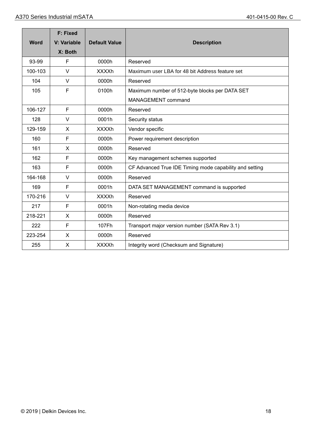|             | <b>F: Fixed</b>        |                      |                                                         |  |
|-------------|------------------------|----------------------|---------------------------------------------------------|--|
| <b>Word</b> | V: Variable<br>X: Both | <b>Default Value</b> | <b>Description</b>                                      |  |
| 93-99       | F                      | 0000h                | Reserved                                                |  |
| 100-103     | V                      | <b>XXXXh</b>         | Maximum user LBA for 48 bit Address feature set         |  |
| 104         | V                      | 0000h                | Reserved                                                |  |
| 105         | F                      | 0100h                | Maximum number of 512-byte blocks per DATA SET          |  |
|             |                        |                      | <b>MANAGEMENT command</b>                               |  |
| 106-127     | F                      | 0000h                | Reserved                                                |  |
| 128         | V                      | 0001h                | Security status                                         |  |
| 129-159     | X                      | <b>XXXXh</b>         | Vendor specific                                         |  |
| 160         | F                      | 0000h                | Power requirement description                           |  |
| 161         | X                      | 0000h                | Reserved                                                |  |
| 162         | F                      | 0000h                | Key management schemes supported                        |  |
| 163         | F                      | 0000h                | CF Advanced True IDE Timing mode capability and setting |  |
| 164-168     | $\vee$                 | 0000h                | Reserved                                                |  |
| 169         | F                      | 0001h                | DATA SET MANAGEMENT command is supported                |  |
| 170-216     | $\vee$                 | <b>XXXXh</b>         | Reserved                                                |  |
| 217         | F                      | 0001h                | Non-rotating media device                               |  |
| 218-221     | X                      | 0000h                | Reserved                                                |  |
| 222         | F                      | 107Fh                | Transport major version number (SATA Rev 3.1)           |  |
| 223-254     | X                      | 0000h                | Reserved                                                |  |
| 255         | X                      | <b>XXXXh</b>         | Integrity word (Checksum and Signature)                 |  |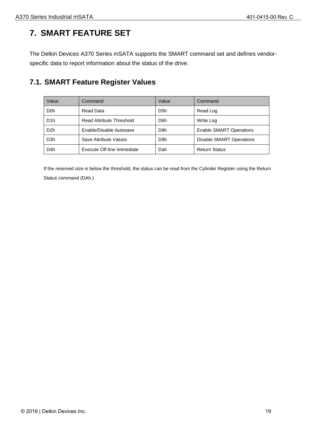# <span id="page-18-0"></span>**7. SMART FEATURE SET**

The Delkin Devices A370 Series mSATA supports the SMART command set and defines vendorspecific data to report information about the status of the drive.

### <span id="page-18-1"></span>**7.1. SMART Feature Register Values**

| Value            | Command                    | Value            | Command                        |
|------------------|----------------------------|------------------|--------------------------------|
| D <sub>0</sub> h | Read Data                  | D <sub>5</sub> h | Read Log                       |
| D <sub>1</sub> h | Read Attribute Threshold   | D6h              | Write Log                      |
| D <sub>2</sub> h | Enable/Disable Autosave    | D8h              | <b>Enable SMART Operations</b> |
| D <sub>3</sub> h | Save Attribute Values      | D9h              | Disable SMART Operations       |
| D <sub>4</sub> h | Execute Off-line Immediate | Dah              | <b>Return Status</b>           |

If the reserved size is below the threshold, the status can be read from the Cylinder Register using the Return Status command (DAh.)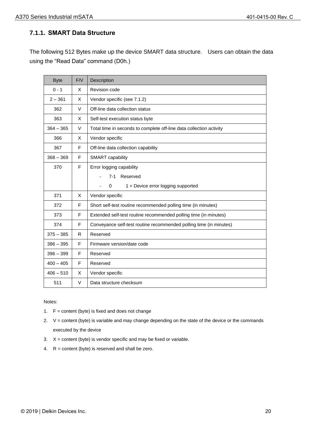#### <span id="page-19-0"></span>**7.1.1. SMART Data Structure**

The following 512 Bytes make up the device SMART data structure. Users can obtain the data using the "Read Data" command (D0h.)

| <b>Byte</b> | F/V | Description                                                         |
|-------------|-----|---------------------------------------------------------------------|
| $0 - 1$     | X   | Revision code                                                       |
| $2 - 361$   | X   | Vendor specific (see 7.1.2)                                         |
| 362         | V   | Off-line data collection status                                     |
| 363         | X   | Self-test execution status byte                                     |
| $364 - 365$ | V   | Total time in seconds to complete off-line data collection activity |
| 366         | X   | Vendor specific                                                     |
| 367         | F   | Off-line data collection capability                                 |
| $368 - 369$ | F   | <b>SMART</b> capability                                             |
| 370         | F   | Error logging capability                                            |
|             |     | 7-1 Reserved                                                        |
|             |     | $\Omega$<br>$1 =$ Device error logging supported                    |
| 371         | X   | Vendor specific                                                     |
| 372         | F   | Short self-test routine recommended polling time (in minutes)       |
| 373         | F   | Extended self-test routine recommended polling time (in minutes)    |
| 374         | F   | Conveyance self-test routine recommended polling time (in minutes)  |
| $375 - 385$ | R   | Reserved                                                            |
| $386 - 395$ | F   | Firmware version/date code                                          |
| $396 - 399$ | F   | Reserved                                                            |
| $400 - 405$ | F   | Reserved                                                            |
| $406 - 510$ | X   | Vendor specific                                                     |
| 511         | V   | Data structure checksum                                             |

Notes:

- 1.  $F =$  content (byte) is fixed and does not change
- 2. V = content (byte) is variable and may change depending on the state of the device or the commands executed by the device
- 3.  $X =$  content (byte) is vendor specific and may be fixed or variable.
- 4. R = content (byte) is reserved and shall be zero.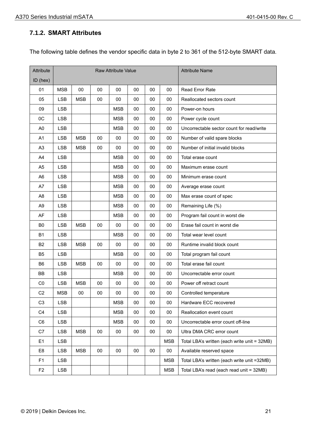#### <span id="page-20-0"></span>**7.1.2. SMART Attributes**

The following table defines the vendor specific data in byte 2 to 361 of the 512-byte SMART data.

| Attribute      | <b>Raw Attribute Value</b> |            |        |            |    | <b>Attribute Name</b> |            |                                              |
|----------------|----------------------------|------------|--------|------------|----|-----------------------|------------|----------------------------------------------|
| $ID$ (hex)     |                            |            |        |            |    |                       |            |                                              |
| 01             | <b>MSB</b>                 | $00\,$     | 00     | 00         | 00 | 00                    | 00         | <b>Read Error Rate</b>                       |
| 05             | <b>LSB</b>                 | <b>MSB</b> | 00     | 00         | 00 | $00\,$                | 00         | Reallocated sectors count                    |
| 09             | <b>LSB</b>                 |            |        | <b>MSB</b> | 00 | 00                    | 00         | Power-on hours                               |
| 0C             | <b>LSB</b>                 |            |        | <b>MSB</b> | 00 | 00                    | 00         | Power cycle count                            |
| A <sub>0</sub> | <b>LSB</b>                 |            |        | <b>MSB</b> | 00 | 00                    | 00         | Uncorrectable sector count for read/write    |
| A <sub>1</sub> | <b>LSB</b>                 | <b>MSB</b> | 00     | 00         | 00 | 00                    | 00         | Number of valid spare blocks                 |
| A <sub>3</sub> | <b>LSB</b>                 | <b>MSB</b> | 00     | 00         | 00 | 00                    | 00         | Number of initial invalid blocks             |
| A4             | <b>LSB</b>                 |            |        | <b>MSB</b> | 00 | 00                    | 00         | Total erase count                            |
| A <sub>5</sub> | <b>LSB</b>                 |            |        | <b>MSB</b> | 00 | $00\,$                | 00         | Maximum erase count                          |
| A <sub>6</sub> | <b>LSB</b>                 |            |        | <b>MSB</b> | 00 | 00                    | 00         | Minimum erase count                          |
| A7             | <b>LSB</b>                 |            |        | <b>MSB</b> | 00 | 00                    | 00         | Average erase count                          |
| A <sub>8</sub> | <b>LSB</b>                 |            |        | <b>MSB</b> | 00 | 00                    | 00         | Max erase count of spec                      |
| A <sub>9</sub> | <b>LSB</b>                 |            |        | <b>MSB</b> | 00 | 00                    | 00         | Remaining Life (%)                           |
| AF             | <b>LSB</b>                 |            |        | <b>MSB</b> | 00 | 00                    | 00         | Program fail count in worst die              |
| B <sub>0</sub> | <b>LSB</b>                 | <b>MSB</b> | 00     | 00         | 00 | 00                    | 00         | Erase fail count in worst die                |
| <b>B1</b>      | <b>LSB</b>                 |            |        | <b>MSB</b> | 00 | 00                    | 00         | Total wear level count                       |
| B <sub>2</sub> | <b>LSB</b>                 | <b>MSB</b> | 00     | 00         | 00 | 00                    | 00         | Runtime invalid block count                  |
| B <sub>5</sub> | <b>LSB</b>                 |            |        | <b>MSB</b> | 00 | 00                    | 00         | Total program fail count                     |
| B <sub>6</sub> | <b>LSB</b>                 | <b>MSB</b> | $00\,$ | 00         | 00 | $00\,$                | 00         | Total erase fail count                       |
| BB             | <b>LSB</b>                 |            |        | <b>MSB</b> | 00 | 00                    | 00         | Uncorrectable error count                    |
| CO             | <b>LSB</b>                 | <b>MSB</b> | 00     | 00         | 00 | 00                    | 00         | Power off retract count                      |
| C <sub>2</sub> | <b>MSB</b>                 | 00         | 00     | 00         | 00 | 00                    | 00         | Controlled temperature                       |
| C <sub>3</sub> | <b>LSB</b>                 |            |        | <b>MSB</b> | 00 | 00                    | 00         | Hardware ECC recovered                       |
| C <sub>4</sub> | <b>LSB</b>                 |            |        | <b>MSB</b> | 00 | $00\,$                | 00         | Reallocation event count                     |
| C <sub>6</sub> | <b>LSB</b>                 |            |        | <b>MSB</b> | 00 | $00\,$                | 00         | Uncorrectable error count off-line           |
| C7             | <b>LSB</b>                 | <b>MSB</b> | $00\,$ | $00\,$     | 00 | $00\,$                | 00         | Ultra DMA CRC error count                    |
| E <sub>1</sub> | <b>LSB</b>                 |            |        |            |    |                       | <b>MSB</b> | Total LBA's written (each write unit = 32MB) |
| E <sub>8</sub> | <b>LSB</b>                 | <b>MSB</b> | 00     | 00         | 00 | 00                    | 00         | Available reserved space                     |
| F <sub>1</sub> | <b>LSB</b>                 |            |        |            |    |                       | <b>MSB</b> | Total LBA's written (each write unit =32MB)  |
| F <sub>2</sub> | <b>LSB</b>                 |            |        |            |    |                       | <b>MSB</b> | Total LBA's read (each read unit = 32MB)     |